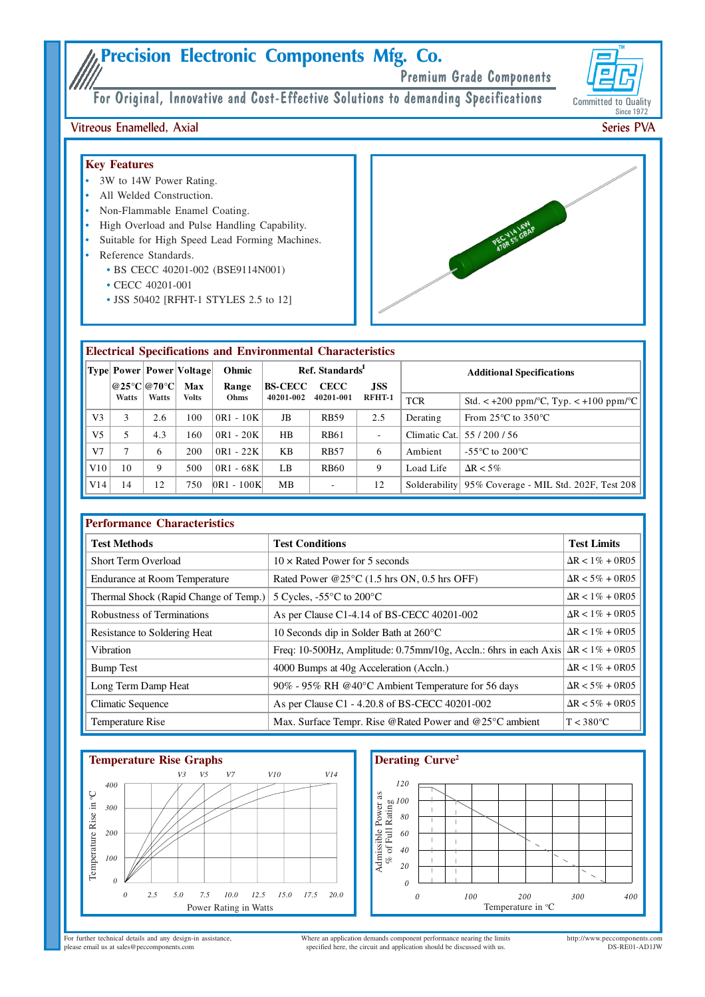# **Precision Electronic Components Mfg. Co.**

Premium Grade Components

**Committed to Quality** Since 1972

For Original, Innovative and Cost-Effective Solutions to demanding Specifications

## Vitreous Enamelled, Axial

### **Key Features**

- 3W to 14W Power Rating.
- All Welded Construction.
- Non-Flammable Enamel Coating.
- High Overload and Pulse Handling Capability.
- Suitable for High Speed Lead Forming Machines.
- Reference Standards.
	- BS CECC 40201-002 (BSE9114N001)
	- CECC 40201-001
	- JSS 50402 [RFHT-1 STYLES 2.5 to 12]



## **Electrical Specifications and Environmental Characteristics**

|                |             |       | Type  Power   Power   Voltage | Ohmic          | Ref. Standards |                           |                          | <b>Additional Specifications</b> |                                                                    |
|----------------|-------------|-------|-------------------------------|----------------|----------------|---------------------------|--------------------------|----------------------------------|--------------------------------------------------------------------|
|                | @25°C @70°C |       | Max                           | Range          | <b>BS-CECC</b> | <b>CECC</b><br><b>JSS</b> |                          |                                  |                                                                    |
|                | Watts       | Watts | <b>Volts</b>                  | Ohms           | 40201-002      | 40201-001                 | RFHT-1                   | <b>TCR</b>                       | Std. $\lt$ +200 ppm/ $\degree$ C, Typ. $\lt$ +100 ppm/ $\degree$ C |
| V <sub>3</sub> | 3           | 2.6   | 100                           | $0R1 - 10K$    | JB             | <b>RB59</b>               | 2.5                      | Derating                         | From $25^{\circ}$ C to $350^{\circ}$ C                             |
| V <sub>5</sub> | 5           | 4.3   | 160                           | $0R1 - 20K$    | HB             | <b>RB61</b>               | $\overline{\phantom{a}}$ | Climatic Cat.                    | 55/200/56                                                          |
| V <sub>7</sub> | ⇁           | 6     | 200                           | $0R1 - 22K$    | KB             | <b>RB57</b>               | 6                        | Ambient                          | -55 $\mathrm{^{\circ}C}$ to 200 $\mathrm{^{\circ}C}$               |
| V10            | 10          | 9     | 500                           | $0R1 - 68K$    | LB             | <b>RB60</b>               | 9                        | Load Life                        | $\Delta R < 5\%$                                                   |
| V14            | 14          | 12    | 750                           | $ 0R1 - 100K $ | MB             | $\sim$                    | 12                       |                                  | Solderability 95% Coverage - MIL Std. 202F, Test 208               |

| <b>Performance Characteristics</b>    |                                                                                           |                         |  |  |  |  |  |
|---------------------------------------|-------------------------------------------------------------------------------------------|-------------------------|--|--|--|--|--|
| <b>Test Methods</b>                   | <b>Test Conditions</b>                                                                    | <b>Test Limits</b>      |  |  |  |  |  |
| <b>Short Term Overload</b>            | $10 \times$ Rated Power for 5 seconds                                                     | $\Delta R < 1\% + 0R05$ |  |  |  |  |  |
| <b>Endurance at Room Temperature</b>  | Rated Power @25°C (1.5 hrs ON, 0.5 hrs OFF)                                               | $\Delta R < 5\% + 0R05$ |  |  |  |  |  |
| Thermal Shock (Rapid Change of Temp.) | 5 Cycles, $-55^{\circ}$ C to 200 $^{\circ}$ C                                             | $\Delta R < 1\% + 0R05$ |  |  |  |  |  |
| Robustness of Terminations            | As per Clause C1-4.14 of BS-CECC 40201-002                                                | $\Delta R < 1\% + 0R05$ |  |  |  |  |  |
| Resistance to Soldering Heat          | 10 Seconds dip in Solder Bath at 260°C                                                    | $\Delta R < 1\% + 0R05$ |  |  |  |  |  |
| Vibration                             | Freq: 10-500Hz, Amplitude: 0.75mm/10g, Accln.: 6hrs in each Axis $\Delta R < 1\% + 0.005$ |                         |  |  |  |  |  |
| <b>Bump Test</b>                      | 4000 Bumps at 40g Acceleration (Accln.)                                                   | $\Delta R < 1\% + 0R05$ |  |  |  |  |  |
| Long Term Damp Heat                   | 90% - 95% RH @40°C Ambient Temperature for 56 days                                        | $\Delta R < 5\% + 0R05$ |  |  |  |  |  |
| Climatic Sequence                     | As per Clause C1 - 4.20.8 of BS-CECC 40201-002                                            | $\Delta R < 5\% + 0R05$ |  |  |  |  |  |
| Temperature Rise                      | Max. Surface Tempr. Rise @Rated Power and @25°C ambient                                   | $T < 380^{\circ}$ C     |  |  |  |  |  |



## **Derating Curve**<sup>2</sup>



For further technical details and any design-in assistance, please email us at sales@peccomponents.com

Where an application demands component performance nearing the limits specified here, the circuit and application should be discussed with us.